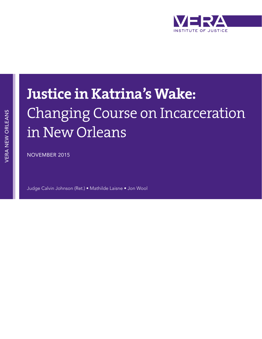

# VERA NEW ORLEANS VERA NEW ORLEANS

## **Justice in Katrina's Wake:** Changing Course on Incarceration in New Orleans

NOVEMBER 2015

Judge Calvin Johnson (Ret.) • Mathilde Laisne • Jon Wool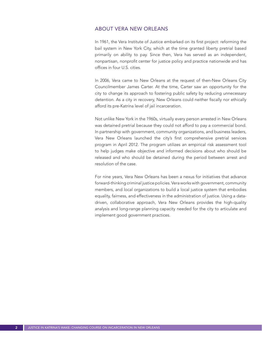#### ABOUT VERA NEW ORLEANS

In 1961, the Vera Institute of Justice embarked on its first project: reforming the bail system in New York City, which at the time granted liberty pretrial based primarily on ability to pay. Since then, Vera has served as an independent, nonpartisan, nonprofit center for justice policy and practice nationwide and has offices in four U.S. cities.

In 2006, Vera came to New Orleans at the request of then-New Orleans City Councilmember James Carter. At the time, Carter saw an opportunity for the city to change its approach to fostering public safety by reducing unnecessary detention. As a city in recovery, New Orleans could neither fiscally nor ethically afford its pre-Katrina level of jail incarceration.

Not unlike New York in the 1960s, virtually every person arrested in New Orleans was detained pretrial because they could not afford to pay a commercial bond. In partnership with government, community organizations, and business leaders, Vera New Orleans launched the city's first comprehensive pretrial services program in April 2012. The program utilizes an empirical risk assessment tool to help judges make objective and informed decisions about who should be released and who should be detained during the period between arrest and resolution of the case.

For nine years, Vera New Orleans has been a nexus for initiatives that advance forward-thinking criminal justice policies. Vera works with government, community members, and local organizations to build a local justice system that embodies equality, fairness, and effectiveness in the administration of justice. Using a datadriven, collaborative approach, Vera New Orleans provides the high-quality analysis and long-range planning capacity needed for the city to articulate and implement good government practices.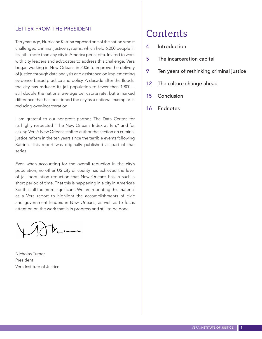#### LETTER FROM THE PRESIDENT

Ten years ago, Hurricane Katrina exposed one of the nation's most challenged criminal justice systems, which held 6,000 people in its jail—more than any city in America per capita. Invited to work with city leaders and advocates to address this challenge, Vera began working in New Orleans in 2006 to improve the delivery of justice through data analysis and assistance on implementing evidence-based practice and policy. A decade after the floods, the city has reduced its jail population to fewer than 1,800 still double the national average per capita rate, but a marked difference that has positioned the city as a national exemplar in reducing over-incarceration.

I am grateful to our nonprofit partner, The Data Center, for its highly-respected "The New Orleans Index at Ten," and for asking Vera's New Orleans staff to author the section on criminal justice reform in the ten years since the terrible events following Katrina. This report was originally published as part of that series.

Even when accounting for the overall reduction in the city's population, no other US city or county has achieved the level of jail population reduction that New Orleans has in such a short period of time. That this is happening in a city in America's South is all the more significant. We are reprinting this material as a Vera report to highlight the accomplishments of civic and government leaders in New Orleans, as well as to focus attention on the work that is in progress and still to be done.

Nicholas Turner President Vera Institute of Justice

### Contents

- 4 Introduction
- 5 The incarceration capital
- 9 Ten years of rethinking criminal justice
- 12 The culture change ahead
- 15 Conclusion
- 16 Endnotes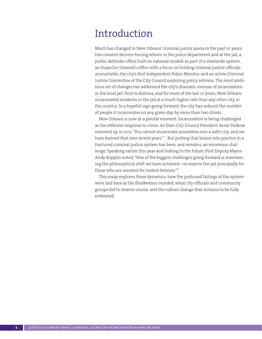## Introduction

Much has changed in New Orleans' criminal justice arena in the past 10 years: two consent decrees forcing reform in the police department and at the jail, a public defender office built on national models as part of a statewide system, an Inspector General's office with a focus on holding criminal justice officials accountable, the city's first Independent Police Monitor, and an active Criminal Justice Committee of the City Council exploring policy reforms. The most ambitious set of changes has addressed the city's dramatic overuse of incarceration in the local jail. Prior to Katrina, and for most of the last 10 years, New Orleans incarcerated residents in the jail at a much higher rate than any other city in the country. In a hopeful sign going forward, the city has reduced the number of people it incarcerates on any given day by more than two-thirds.

New Orleans is now at a pivotal moment. Incarceration is being challenged as the reflexive response to crime. As then-City Council President Arnie Fielkow summed up in 2011, "You cannot incarcerate yourselves into a safer city, and we have learned that over recent years."<sup>1</sup> But putting that lesson into practice in a fractured criminal justice system has been, and remains, an enormous challenge. Speaking earlier this year and looking to the future, First Deputy Mayor Andy Kopplin noted, "One of the biggest challenges going forward is maintaining the philosophical shift we have achieved—to reserve the jail principally for those who are arrested for violent felonies."<sup>2</sup>

This essay explores these dynamics, how the profound failings of the system were laid bare as the floodwaters receded, what city officials and community groups did to reverse course, and the culture change that remains to be fully embraced.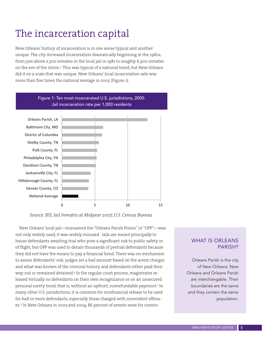## The incarceration capital

New Orleans' history of incarceration is in one sense typical and another unique. The city increased incarceration dramatically beginning in the 1980s, from just above 2,300 inmates in the local jail in 1981 to roughly 6,300 inmates on the eve of the storm.<sup>3</sup> This was typical of a national trend, but New Orleans did it on a scale that was unique. New Orleans' local incarceration rate was more than five times the national average in 2005 (Figure 1).



*Source: BJS, Jail Inmates at Midyear 2007, U.S. Census Bureau*

New Orleans' local jail—misnamed the "Orleans Parish Prison" or "OPP"—was not only widely used, it was widely misused. Jails are meant principally to house defendants awaiting trial who pose a significant risk to public safety or of flight, but OPP was used to detain thousands of pretrial defendants because they did not have the means to pay a financial bond. There was no mechanism to assess defendants' risk; judges set a bail amount based on the arrest charges and what was known of the criminal history and defendants either paid their way out or remained detained.4 In the regular court process, magistrates released virtually no defendants on their own recognizance or on an unsecured personal surety bond, that is, without an upfront, nonrefundable payment.5 In many other U.S. jurisdictions, it is common for nonfinancial release to be used for half or more defendants, especially those charged with nonviolent offenses.<sup>6</sup> In New Orleans in 2003 and 2004, 86 percent of arrests were for nonvio-

#### WHAT IS ORLEANS PARISH?

Orleans Parish is the city of New Orleans. New Orleans and Orleans Parish are interchangable. Their boundaries are the same and they contain the same population.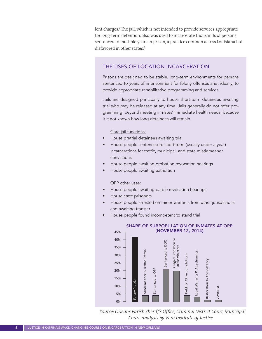lent charges.7 The jail, which is not intended to provide services appropriate for long-term detention, also was used to incarcerate thousands of persons sentenced to multiple years in prison, a practice common across Louisiana but disfavored in other states.<sup>8</sup>

#### THE USES OF LOCATION INCARCERATION

Prisons are designed to be stable, long-term environments for persons sentenced to years of imprisonment for felony offenses and, ideally, to provide appropriate rehabilitative programming and services.

Jails are designed principally to house short-term detainees awaiting trial who may be released at any time. Jails generally do not offer programming, beyond meeting inmates' immediate health needs, because it it not known how long detainees will remain.

#### Core jail functions:

- House pretrial detainees awaiting trial
- House people sentenced to short-term (usually under a year) incarcerations for traffic, municipal, and state misdemeanor convictions
- House people awaiting probation revocation hearings
- House people awaiting extridition

#### OPP other uses:

- House people awaiting parole revocation hearings
- House state prisoners
- House people arrested on minor warrants from other jurisdictions and awaiting transfer
- House people found incompetent to stand trial



*Source: Orleans Parish Sheriff's Office, Criminal District Court, Municipal Court, analysis by Vera Institute of Justice*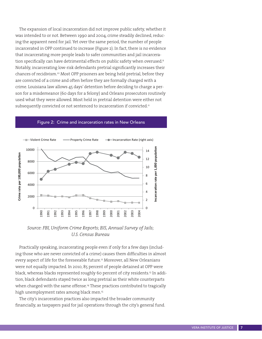The expansion of local incarceration did not improve public safety, whether it was intended to or not. Between 1990 and 2004, crime steadily declined, reducing the apparent need for jail. Yet over the same period, the number of people incarcerated in OPP continued to increase (Figure 2). In fact, there is no evidence that incarcerating more people leads to safer communities and jail incarceration specifically can have detrimental effects on public safety when overused.<sup>9</sup> Notably, incarcerating low-risk defendants pretrial significantly increases their chances of recidivism.<sup>10</sup> Most OPP prisoners are being held pretrial, before they are convicted of a crime and often before they are formally charged with a crime. Louisiana law allows 45 days' detention before deciding to charge a person for a misdemeanor (60 days for a felony) and Orleans prosecutors routinely used what they were allowed. Most held in pretrial detention were either not subsequently convicted or not sentenced to incarceration if convicted.<sup>11</sup>



#### Figure 2: Crime and incarceration rates in New Orleans

*Source: FBI, Uniform Crime Reports; BJS, Annual Survey of Jails; U.S. Census Bureau*

Practically speaking, incarcerating people even if only for a few days (including those who are never convicted of a crime) causes them difficulties in almost every aspect of life for the foreseeable future.12 Moreover, all New Orleanians were not equally impacted. In 2010, 85 percent of people detained at OPP were black, whereas blacks represented roughly 60 percent of city residents.<sup>13</sup> In addition, black defendants stayed twice as long pretrial as their white counterparts when charged with the same offense.<sup>14</sup> These practices contributed to tragically high unemployment rates among black men.<sup>15</sup>

The city's incarceration practices also impacted the broader community financially, as taxpayers paid for jail operations through the city's general fund.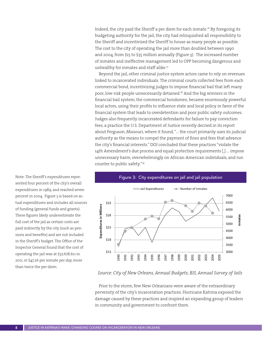Indeed, the city paid the Sheriff a per diem for each inmate.16 By foregoing its budgeting authority for the jail, the city had relinquished all responsibility to the Sheriff and incentivized the Sheriff to house as many people as possible. The cost to the city of operating the jail more than doubled between 1990 and 2004, from \$15 to \$35 million annually (Figure 3). The increased number of inmates and ineffective management led to OPP becoming dangerous and unhealthy for inmates and staff alike.<sup>17</sup>

Beyond the jail, other criminal justice system actors came to rely on revenues linked to incarcerated individuals. The criminal courts collected fees from each commercial bond, incentivizing judges to impose financial bail that left many poor, low-risk people unnecessarily detained.18 And the big winners in the financial bail system, the commercial bondsmen, became enormously powerful local actors, using their profits to influence state and local policy in favor of the financial system that leads to overdetention and poor public safety outcomes. Judges also frequently incarcerated defendants for failure to pay conviction fees, a practice the U.S. Department of Justice recently decried in its report about Ferguson, Missouri, where it found, "… the court primarily uses its judicial authority as the means to compel the payment of fines and fees that advance the city's financial interests." DOJ concluded that these practices "violate the 14th Amendment's due process and equal protection requirements [,] … impose unnecessary harm, overwhelmingly on African-American individuals, and run counter to public safety."19



Figure 3: City expenditures on jail and jail population

*Source: City of New Orleans, Annual Budgets; BJS, Annual Survey of Jails* 

Prior to the storm, few New Orleanians were aware of the extraordinary perversity of the city's incarceration practices. Hurricane Katrina exposed the damage caused by these practices and inspired an expanding group of leaders in community and government to confront them.

Note: The Sheriff's expenditures represented four percent of the city's overall expenditures in 1989, and reached seven percent in 2004. Figure 3 is based on actual expenditures and includes all sources of funding (general funds and grants). These figures likely underestimate the full cost of the jail as certain costs are paid indirectly by the city (such as pensions and benefits) and are not included in the Sheriff's budget. The Office of the Inspector General found that the cost of operating the jail was at \$37,678,611 in 2011, or \$47.26 per inmate per day, more than twice the per diem.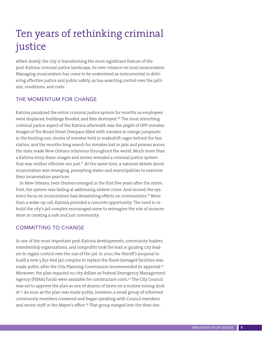## Ten years of rethinking criminal justice

Albeit slowly, the city is transforming the most significant feature of the post-Katrina criminal justice landscape, its over-reliance on local incarceration. Managing incarceration has come to be understood as instrumental in delivering effective justice and public safety, as has asserting control over the jail's size, conditions, and costs.

#### THE MOMENTUM FOR CHANGE

Katrina paralyzed the entire criminal justice system for months as employees were displaced, buildings flooded, and files destroyed.<sup>20</sup> The most disturbing criminal justice aspect of the Katrina aftermath was the plight of OPP inmates. Images of the Broad Street Overpass filled with inmates in orange jumpsuits in the broiling sun, stories of inmates held in makeshift cages behind the bus station, and the months-long search for inmates lost in jails and prisons across the state made New Orleans infamous throughout the world. Much more than a Katrina story, these images and stories revealed a criminal justice system that was neither effective nor just.<sup>21</sup> At the same time, a national debate about incarceration was emerging, prompting states and municipalities to examine their incarceration practices.

In New Orleans, twin themes emerged in the first five years after the storm. First, the system was failing at addressing violent crime. And second, the system's focus on incarceration had devastating effects on communities.<sup>22</sup> More than a wake-up call, Katrina provided a concrete opportunity: The need to rebuild the city's jail complex encouraged some to reimagine the role of incarceration in creating a safe and just community.

#### COMMITTING TO CHANGE

In one of the most important post-Katrina developments, community leaders, membership organizations, and nonprofits took the lead in guiding city leaders to regain control over the size of the jail. In 2010, the Sheriff's proposal to build a new 5,832-bed jail complex to replace the flood-damaged facilities was made public after the City Planning Commission recommended its approval.<sup>23</sup> Moreover, the plan required no city dollars as Federal Emergency Management Agency (FEMA) funds were available for construction costs.<sup>24</sup> The City Council was set to approve the plan as one of dozens of items on a routine zoning docket.25 As soon as the plan was made public, however, a small group of informed community members convened and began speaking with Council members and senior staff in the Mayor's office.<sup>26</sup> That group merged into the then-dor-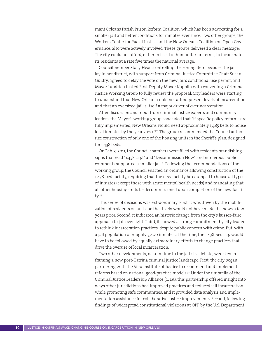mant Orleans Parish Prison Reform Coalition, which has been advocating for a smaller jail and better conditions for inmates ever since. Two other groups, the Workers Center for Racial Justice and the New Orleans Coalition on Open Governance, also were actively involved. These groups delivered a clear message: The city could not afford, either in fiscal or humanitarian terms, to incarcerate its residents at a rate five times the national average.

Councilmember Stacy Head, controlling the zoning item because the jail lay in her district, with support from Criminal Justice Committee Chair Susan Guidry, agreed to delay the vote on the new jail's conditional use permit, and Mayor Landrieu tasked First Deputy Mayor Kopplin with convening a Criminal Justice Working Group to fully review the proposal. City leaders were starting to understand that New Orleans could not afford present levels of incarceration and that an oversized jail is itself a major driver of overincarceration.

After discussion and input from criminal justice experts and community leaders, the Mayor's working group concluded that "if specific policy reforms are fully implemented, New Orleans would need approximately 1,485 beds to house local inmates by the year 2020."<sup>27</sup> The group recommended the Council authorize construction of only one of the housing units in the Sheriff's plan, designed for 1,438 beds.

On Feb. 3, 2011, the Council chambers were filled with residents brandishing signs that read "1,438 cap!" and "Decommission Now" and numerous public comments supported a smaller jail.<sup>28</sup> Following the recommendations of the working group, the Council enacted an ordinance allowing construction of the 1,438-bed facility, requiring that the new facility be equipped to house all types of inmates (except those with acute mental health needs) and mandating that all other housing units be decommissioned upon completion of the new facility.29

This series of decisions was extraordinary. First, it was driven by the mobilization of residents on an issue that likely would not have made the news a few years prior. Second, it indicated an historic change from the city's laissez-faire approach to jail oversight. Third, it showed a strong commitment by city leaders to rethink incarceration practices, despite public concern with crime. But, with a jail population of roughly 3,400 inmates at the time, the 1,438-bed cap would have to be followed by equally extraordinary efforts to change practices that drive the overuse of local incarceration.

Two other developments, near in time to the jail-size debate, were key in framing a new post-Katrina criminal justice landscape. First, the city began partnering with the Vera Institute of Justice to recommend and implement reforms based on national good-practice models.<sup>30</sup> Under the umbrella of the Criminal Justice Leadership Alliance (CJLA), this partnership offered insight into ways other jurisdictions had improved practices and reduced jail incarceration while promoting safe communities, and it provided data analysis and implementation assistance for collaborative justice improvements. Second, following findings of widespread constitutional violations at OPP by the U.S. Department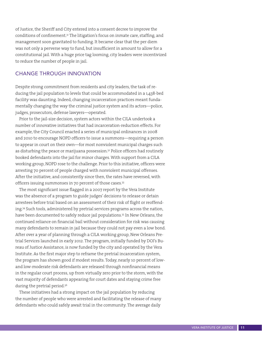of Justice, the Sheriff and City entered into a consent decree to improve the conditions of confinement.<sup>31</sup> The litigation's focus on inmate care, staffing, and management soon gravitated to funding. It became clear that the per diem was not only a perverse way to fund, but insufficient in amount to allow for a constitutional jail. With a huge price tag looming, city leaders were incentivized to reduce the number of people in jail.

#### CHANGE THROUGH INNOVATION

Despite strong commitment from residents and city leaders, the task of reducing the jail population to levels that could be accommodated in a 1,438-bed facility was daunting. Indeed, changing incarceration practices meant fundamentally changing the way the criminal justice system and its actors—police, judges, prosecutors, defense lawyers—operated.

Prior to the jail-size decision, system actors within the CJLA undertook a number of innovative initiatives that had incarceration-reduction effects. For example, the City Council enacted a series of municipal ordinances in 2008 and 2010 to encourage NOPD officers to issue a summons—requiring a person to appear in court on their own—for most nonviolent municipal charges such as disturbing the peace or marijuana possession.<sup>32</sup> Police officers had routinely booked defendants into the jail for minor charges. With support from a CJLA working group, NOPD rose to the challenge. Prior to this initiative, officers were arresting 70 percent of people charged with nonviolent municipal offenses. After the initiative, and consistently since then, the rates have reversed, with officers issuing summonses in 70 percent of those cases.<sup>33</sup>

The most significant issue flagged in a 2007 report by the Vera Institute was the absence of a program to guide judges' decisions to release or detain arrestees before trial based on an assessment of their risk of flight or reoffending.34 Such tools, administered by pretrial services programs across the nation, have been documented to safely reduce jail populations.<sup>35</sup> In New Orleans, the continued reliance on financial bail without consideration for risk was causing many defendants to remain in jail because they could not pay even a low bond. After over a year of planning through a CJLA working group, New Orleans Pretrial Services launched in early 2012. The program, initially funded by DOJ's Bureau of Justice Assistance, is now funded by the city and operated by the Vera Institute. As the first major step to reframe the pretrial incarceration system, the program has shown good if modest results. Today, nearly 10 percent of lowand low-moderate risk defendants are released through nonfinancial means in the regular court process, up from virtually zero prior to the storm, with the vast majority of defendants appearing for court dates and staying crime free during the pretrial period.<sup>36</sup>

These initiatives had a strong impact on the jail population by reducing the number of people who were arrested and facilitating the release of many defendants who could safely await trial in the community. The average daily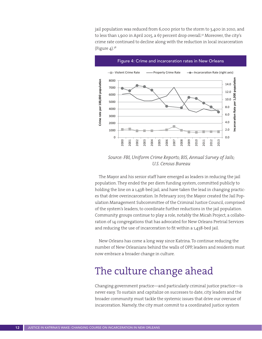jail population was reduced from 6,000 prior to the storm to 3,400 in 2010, and to less than 1,900 in April 2015, a 67 percent drop overall.<sup>37</sup> Moreover, the city's crime rate continued to decline along with the reduction in local incarceration (Figure  $4$ ).<sup>38</sup>



#### Figure 4: Crime and incarceration rates in New Orleans

*Source: FBI, Uniform Crime Reports; BJS, Annual Survey of Jails; U.S. Census Bureau*

The Mayor and his senior staff have emerged as leaders in reducing the jail population. They ended the per diem funding system, committed publicly to holding the line on a 1,438-bed jail, and have taken the lead in changing practices that drive overincarceration. In February 2015 the Mayor created the Jail Population Management Subcommittee of the Criminal Justice Council, comprised of the system's leaders, to coordinate further reductions in the jail population. Community groups continue to play a role, notably the Micah Project, a collaboration of 14 congregations that has advocated for New Orleans Pretrial Services and reducing the use of incarceration to fit within a 1,438-bed jail.

New Orleans has come a long way since Katrina. To continue reducing the number of New Orleanians behind the walls of OPP, leaders and residents must now embrace a broader change in culture.

## The culture change ahead

Changing government practice—and particularly criminal justice practice—is never easy. To sustain and capitalize on successes to date, city leaders and the broader community must tackle the systemic issues that drive our overuse of incarceration. Namely, the city must commit to a coordinated justice system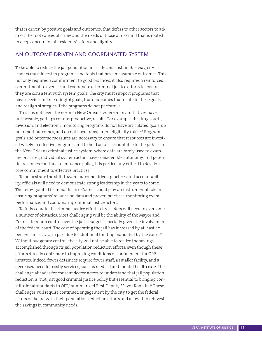that is driven by positive goals and outcomes; that defers to other sectors to address the root causes of crime and the needs of those at risk; and that is rooted in deep concern for all residents' safety and dignity.

#### AN OUTCOME-DRIVEN AND COORDINATED SYSTEM

To be able to reduce the jail population in a safe and sustainable way, city leaders must invest in programs and tools that have measurable outcomes. This not only requires a commitment to good practices, it also requires a reinforced commitment to oversee and coordinate all criminal justice efforts to ensure they are consistent with system goals. The city must support programs that have specific and meaningful goals, track outcomes that relate to these goals, and realign strategies if the programs do not perform.<sup>39</sup>

This has not been the norm in New Orleans where many initiatives have untraceable, perhaps counterproductive, results. For example, the drug courts, diversion, and electronic monitoring programs do not have articulated goals, do not report outcomes, and do not have transparent eligibility rules.40 Program goals and outcome measures are necessary to ensure that resources are invested wisely in effective programs and to hold actors accountable to the public. In the New Orleans criminal justice system, where data are rarely used to examine practices, individual system actors have considerable autonomy, and potential revenues continue to influence policy, it is particularly critical to develop a core commitment to effective practices.

To orchestrate the shift toward outcome-driven practices and accountability, officials will need to demonstrate strong leadership in the years to come. The reinvigorated Criminal Justice Council could play an instrumental role in ensuring programs' reliance on data and proven practices, monitoring overall performance, and coordinating criminal justice actors.

To fully coordinate criminal justice efforts, city leaders will need to overcome a number of obstacles. Most challenging will be the ability of the Mayor and Council to retain control over the jail's budget, especially given the involvement of the federal court. The cost of operating the jail has increased by at least 40 percent since 2010, in part due to additional funding mandated by the court.<sup>41</sup> Without budgetary control, the city will not be able to realize the savings accomplished through its jail population reduction efforts, even though these efforts directly contribute to improving conditions of confinement for OPP inmates. Indeed, fewer detainees require fewer staff, a smaller facility, and a decreased need for costly services, such as medical and mental health care. The challenge ahead is for consent decree actors to understand that jail population reduction is "not just good criminal justice policy but essential to bringing constitutional standards to OPP," summarized First Deputy Mayor Kopplin.<sup>42</sup> These challenges will require continued engagement by the city to get the federal actors on board with their population-reduction efforts and allow it to reinvest the savings in community needs.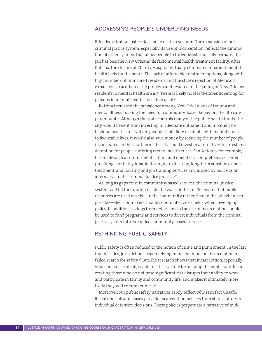#### ADDRESSING PEOPLE'S UNDERLYING NEEDS

Effective criminal justice does not exist in a vacuum. The expansion of our criminal justice system, especially its use of incarceration, reflects the diminution of other systems that allow people to thrive. Most tragically perhaps, the jail has become New Orleans' de facto mental health treatment facility. After Katrina, the closure of Charity Hospital virtually eliminated inpatient mental health beds for the poor.43 The lack of affordable treatment options, along with high numbers of uninsured residents and the state's rejection of Medicaid expansion, exacerbated the problem and resulted in the jailing of New Orleans residents in mental health crisis.<sup>44</sup> There is likely no less therapeutic setting for persons in mental health crisis than a jail.45

Katrina increased the prevalence among New Orleanians of trauma and mental illness, making the need for community-based behavioral health care paramount.46 Although the state controls many of the public health funds, the city would benefit from investing in adequate outpatient and inpatient behavioral health care. Not only would that allow residents with mental illness to live stable lives, it would also save money by reducing the number of people incarcerated. In the short term, the city could invest in alternatives to arrest and detention for people suffering mental health crises. San Antonio, for example, has made such a commitment. It built and operates a comprehensive center providing short-stay inpatient care, detoxification, long-term substance abuse treatment, and housing and job training services and is used by police as an alternative to the criminal justice process.<sup>47</sup>

As long as gaps exist in community-based services, the criminal justice system will fill them, often inside the walls of the jail. To ensure that public resources are used wisely—in the community rather than in the jail whenever possible—decisionmakers should coordinate across fields when developing policy. In addition, savings from reductions in the use of incarceration should be used to fund programs and services to divert individuals from the criminal justice system into expanded community-based services.

#### RETHINKING PUBLIC SAFETY

Public safety is often reduced to the notion of crime and punishment. In the last four decades, jurisdictions began relying more and more on incarceration in a failed search for safety.<sup>48</sup> But, the research shows that incarceration, especially widespread use of jail, is not an effective tool for keeping the public safe. Incarcerating those who do not pose significant risk disrupts their ability to work and participate in family and community life, and makes it ultimately more likely they will commit crimes.49

Moreover, our public safety narratives rarely reflect who is in fact unsafe. Racial and cultural biases pervade incarceration policies from state statutes to individual detention decisions. These policies perpetuate a narrative of mid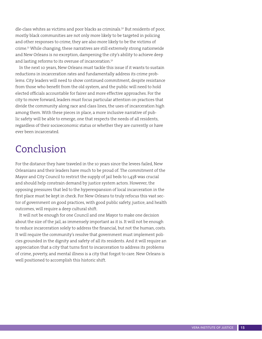dle-class whites as victims and poor blacks as criminals.<sup>50</sup> But residents of poor, mostly black communities are not only more likely to be targeted in policing and other responses to crime, they are also more likely to be the victims of crime.51 While changing, these narratives are still extremely strong nationwide and New Orleans is no exception, dampening the city's ability to achieve deep and lasting reforms to its overuse of incarceration.<sup>52</sup>

In the next 10 years, New Orleans must tackle this issue if it wants to sustain reductions in incarceration rates and fundamentally address its crime problems. City leaders will need to show continued commitment, despite resistance from those who benefit from the old system, and the public will need to hold elected officials accountable for fairer and more effective approaches. For the city to move forward, leaders must focus particular attention on practices that divide the community along race and class lines, the uses of incarceration high among them. With these pieces in place, a more inclusive narrative of public safety will be able to emerge, one that respects the needs of all residents, regardless of their socioeconomic status or whether they are currently or have ever been incarcerated.

## Conclusion

For the distance they have traveled in the 10 years since the levees failed, New Orleanians and their leaders have much to be proud of. The commitment of the Mayor and City Council to restrict the supply of jail beds to 1,438 was crucial and should help constrain demand by justice system actors. However, the opposing pressures that led to the hyperexpansion of local incarceration in the first place must be kept in check. For New Orleans to truly refocus this vast sector of government on good practices, with good public safety, justice, and health outcomes, will require a deep cultural shift.

It will not be enough for one Council and one Mayor to make one decision about the size of the jail, as immensely important as it is. It will not be enough to reduce incarceration solely to address the financial, but not the human, costs. It will require the community's resolve that government must implement policies grounded in the dignity and safety of all its residents. And it will require an appreciation that a city that turns first to incarceration to address its problems of crime, poverty, and mental illness is a city that forgot to care. New Orleans is well positioned to accomplish this historic shift.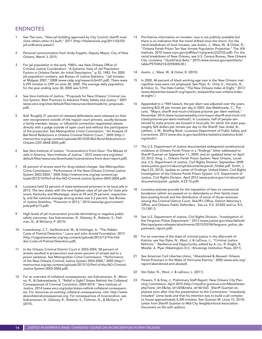#### ENDNOTES

- See The Lens, "New jail building approved by City Council; sheriff must close others when it's built," 2011 (http://thelensnola.org/2011/02/03/ jail-ordinance-passe/).
- 2 Personal communication from Andy Kopplin, Deputy Mayor, City of New Orleans, March 3, 2015.
- 3 For jail population in the early 1980's, see New Orleans Office of Criminal Justice Coordination, "A Systemic View of Jail Population Factors in Orleans Parish: An Initial Description," p.32, 1983. For 2005 jail population numbers, see Bureau of Justice Statistics, "Jail Inmates at Midyear 2007," 2008 (www.csdp.org/research/jim07.pdf). There were 6,295 inmates in OPP on June 30, 2005. The average daily population for the year ending June 30, 2005 was 5,919.
- See Vera Institute of Justice, "Proposals for New Orleans' Criminal Justice System: Best Practices to Advance Public Safety and Justice," 2007 (www.vera.org/sites/default/files/resources/downloads/no\_proposals. pdf).
- 5 Ibid. Roughly 21 percent of released defendants were released on their own recognizance outside of the regular court process, usually because a family member, lawyer, or influential connection negotiated release directly with a judge outside of open court and without the participation of the prosecutor. See Metropolitan Crime Commission, "An Analysis of Bail Bond Reductions in Orleans Criminal District Court," 2005 (http:// metrocrime.org/wp-content/uploads/2013/05/Bail-Bond-Reductions-in-Orleans-CDC-MAR-2005.pdf).
- 6 See Vera Institute of Justice, "Incarceration's Front Door: The Misuse of Jails in America. Vera Institute of Justice," 2015 (www.vera.org/sites/ default/files/resources/downloads/incarcerations-front-door-report.pdf).
- 7 65 percent of arrests were for drug-related charges. See Metropolitan Crime Commission, "Performance of the New Orleans Criminal Justice System 2003-2004," 2005 (http://metrocrime.org/wp-content/uploads/2013/10/Perf-of-the-NO-Criminal-Justice-System-2003-2004.pdf).
- 8 Louisiana held 52 percent of state-sentenced prisoners in its local jails in 2013. The two states with the next highest rates of jail use for state prisoners, Kentucky and Mississippi, were at 39 and 29 percent, respectively, and the national average among states was 6.2 percent. See Bureau of Justice Statistics, "Prisoners in 2013," 2014 (www.bjs.gov/content/ pub/pdf/p13.pdf).
- 9 High levels of jail incarceration provide diminishing or negative public safety outcomes. See Subramanian, R., Delaney, R., Roberts, S., Fishman, N., & McGarry, P. (2015).
- 10 Lowenkamp, C.T., VanNostrand, M., & Holsinger, A. "The Hidden Costs of Pretrial Detention," Laura and John Arnold Foundation, 2013 (http://csgjusticecenter.org/wp-content/uploads/2013/12/The-Hidden-Costs-of-Pretrial-Detention.pdf).
- 11 In the Orleans Criminal District Court in 2003-2004, 58 percent of arrests resulted in prosecution and seven percent of arrests led to a prison sentence. See Metropolitan Crime Commission, "Performance of the New Orleans Criminal Justice System 2003-2004," 2005 (http:// metrocrime.org/wp-content/uploads/2013/10/Perf-of-the-NO-Criminal-Justice-System-2003-2004.pdf).
- 12 For an overview of collateral consequences, see Subramanian, R., Moreno, R., & Gebreselassie, S. "Relief in Sight? States Rethink the Collateral Consequences of Criminal Conviction, 2009-2014," Vera Institute of Justice, 2014 (www.vera.org/pubs/states-rethink-collateral-consequences). For resources on existing collateral consequences, visit: http://www. abacollateralconsequences.org. For consequences of incarceration, see Subramanian, R., Delaney, R., Roberts, S., Fishman, N., & McGarry, P. (2015).
- 13 Pre-Katrina information on inmates' race is not publicly available but there is no indication that the trend shifted since the storm. For the racial breakdown of local inmates, see Austin, J., Ware, W., & Ocker, R., "Orleans Parish Prison Ten-Year Inmate Population Projection," The JFA Institute, 2010 (www.ncjrs.gov/pdffiles1/nij/grants/233722.pdf). For the racial breakdown of New Orleans, see U.S. Census Bureau, New Orleans City, Louisiana. "QuickFacts Beta," 2010 (www.census.gov/quickfacts/ table/PST045214/2255000,00.)
- Austin, J., Ware, W., & Ocker, R. (2010).
- 15 In 2000, 46 percent of black working-age men in the New Orleans metropolitan area were not employed. See Plyer, A., Ortiz, E., Horwitz, B., & Hobor, G., The Data Center, "The New Orleans Index at Eight," 2013 (www.datacenterresearch.org/reports\_analysis/the-new-orleans-indexat-eight/.)
- 16 Appended to a 1969 lawsuit, the per diem was adjusted over the years, reaching \$22.39 per inmate per day in 2003. See Maldonado, C., The Lens, "Mayor, sheriff end much-criticized prisoner per diem method," November 2014 (www.louisianaweekly.com/mayor-sheriff-end-much-criticized-prisoner-per-diem-method/). In Louisiana, half of people sentenced to state prisons are housed in local jails, for which the state pays roughly \$24 dollars per inmate per day to the Sheriff. See Jindal, B., Leblanc, J. M., Briefing Book: Louisiana Department of Public Safety and Corrections. 2013 (www.doc.la.gov/quicklinks/statistics/statistics-briefing-book/).
- 17 The U.S. Department of Justice documented widespread constitutional violations at Orleans Parish Prison in a "findings" letter addressed to Sheriff Gusman on September 11, 2009, and an updated letter on April 23, 2012. King, L., Orleans Parish Prison System: New Orleans, Louisiana. U.S. Department of Justice, Civil Rights Division. September 2009 (www.justice.gov/crt/about/spl/documents/parish\_findlet.pdf. Smith, J. (April 23, 2012). Update to Letter of Findings: United States' Civil Rights Investigation of the Orleans Parish Prison System. U.S. Department of Justice, Civil Rights Division. April 2012 (www.justice.gov/crt/about/spl/ documents/parish\_update\_4-23-12.pdf).
- 18 Louisiana statutes provide for the imposition of fees on commercial bondsmen (which are passed on to defendants or their family members posting bond) and the distribution of some of those revenues among the Criminal District Court, Sheriff's Office, District Attorney's Office, and Orleans Public Defenders. See La. R.S. 22:822 and La. R.S. 13:1381.5.
- See U.S. Department of Justice, Civil Rights Division, "Investigation of the Ferguson Police Department," 2013 (www.justice.gov/sites/default/ files/opa/press-releases/attachments/2015/03/04/ferguson\_police\_department\_report.pdf).
- 20 For an overview of the state of criminal justice in the aftermath of Katrina, see Van Dyke, N., Wool, J. & LeDoux, L., "Criminal Justice Reforms," Resilience and Opportunity, edited by A. Liu, R. Anglin, R. Mizelle, A. Plyer (Washington D.C.: Brookings Institution Press, 2011).
- See American Civil Liberties Union, "Abandoned & Abused: Orleans Parish Prisoners in the Wake of Hurricane Katrina," 2006 (www.aclu.org/ report/abandoned-and-abused).
- 22 Van Dyke, N., Wool, J. & LeDoux, L. (2011).
- 23 Flowers, F. & Kray, J., Preliminary Staff Report: New Orleans City Planning Commission. April 2010 (http://cityofno.granicus.com/MetaViewer. php?view\_id=2&clip\_id=320&meta\_id=66162). Sheriff Gusman explained soon after that the presentation to the Commission "mistakenly included" some beds and that his intention was to build a jail complex to house approximately 4,300 inmates. See Gusman M. (June 15, 2010). Letter from Sheriff Gusman to Mid-City Neighborhood Association. Document on file with authors.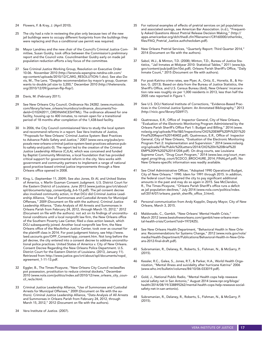- 24 Flowers, F. & Kray, J. (April 2010).
- 25 The city had a role in reviewing the plan only because two of the new jail buildings were to occupy different footprints from the buildings they were replacing and thus a conditional use permit was required.
- 26 Mayor Landrieu and the new chair of the Council's Criminal Justice Committee, Susan Guidry, took office between the Commission's preliminary report and the Council vote. Councilmember Guidry early on made jail population reduction efforts a key focus of the committee.
- 27 See Criminal Justice Working Group, Resolution on Executive Order 10-06. November 2010 (http://lensnola.wpengine.netdna-cdn.com/ wp-content/uploads/2010/12/CJWG\_RESOLUTION-1.doc). See also Davis, M., The Lens. "Despite recommendation by mayor's group, Gusman wants to double jail size to 3,200," December 2010 (http://thelensnola. org/2010/12/09/gusman-flip-flop/).
- 28 Davis, M. (February 2011).
- 29 See New Orleans City Council, Ordinance No 24282. (www.municode. com/library/la/new\_orleans/munidocs/ordinance\_documents?nodeId=O10242011\_ORDINANCESHTML). The ordinance allowed for one facility, housing up to 400 inmates, to remain open for a transitional period of 18 months after completion of the 1,438-bed facility.
- 30 In 2006, the City Council commissioned Vera to study the local system and recommend reforms in a report. See Vera Institute of Justice, "Proposals for New Orleans' Criminal Justice System: Best Practices to Advance Public Safety and Justice," 2007 (www.vera.org/pubs/proposals-new-orleans-criminal-justice-system-best-practices-advance-public-safety-and-justic-0). The report led to the creation of the Criminal Justice Leadership Alliance (CJLA), which was conceived and funded by Baptist Community Ministries, a local foundation that has provided critical support for governmental reform in the city. Vera works with government and community partners to implement a range of national good practice-based criminal justice improvements through a New Orleans office opened in 2008.
- 31 King, L. (September 11, 2009). See also Jones, Et Al, and United States of America, v. Marlin Gusman Consent Judgment. U.S. District Court for the Eastern District of Louisiana. June 2013 (www.justice.gov/crt/about/ spl/documents/opp\_consentjudg\_6-6-13.pdf). The jail consent decree also involved community action, in that DOJ did Criminal Justice Leadership Alliance, "Use of Summonses and Custodial Arrests for Municipal Offenses," 2009 (Document on file with the authors). Criminal Justice Leadership Alliance, "Data Analysis of All Arrests and Summonses in Orleans Parish from February 24, 2012, through March 15, 2012," 2012 (Document on file with the authors). not act on its findings of unconstitutional conditions until a local nonprofit law firm, the New Orleans office of the Southern Poverty Law Center, filed a class action lawsuit, which DOJ subsequently joined. Another local nonprofit law firm, the New Orleans office of the MacArthur Justice Center, took over as counsel for the plaintiff class in 2014. For post-judgment history, see http://www. laed.uscourts.gov/OPP\_Consent/opp\_consent.htm. Not long before the jail decree, the city entered into a consent decree to address unconstitutional police practices. United States of America v. City of New Orleans. Consent Decree Regarding the New Orleans Police Department. U.S. District Court for the Eastern District of Louisiana. (2013, January 11). Retrieved from http://www.justice.gov/crt/about/spl/documents/nopd\_ agreement\_1-11-13.pdf.
- 32 Eggler, B., The Times-Picayune, "New Orleans City Council reclassifies pot possession, prostitution to reduce criminal dockets," December 2010 (www.nola.com/politics/index.ssf/2010/12/new\_orleans\_city\_council recla.html.
- 33 Criminal Justice Leadership Alliance, "Use of Summonses and Custodial Arrests for Municipal Offenses," 2009 (Document on file with the authors). Criminal Justice Leadership Alliance, "Data Analysis of All Arrests and Summonses in Orleans Parish from February 24, 2012, through March 15, 2012," 2012 (Document on file with the authors).
- 35 For national examples of effects of pretrial services on jail populations and associated savings, see American Bar Association. (n.d.), "Frequently Asked Questions About Pretrial Release Decision Making," (http:// apps.americanbar.org/dch/thedl.cfm?filename=/CR160000/otherlinks\_ files/FAQ\_Pretrial\_Justice.authcheckdam.pdf).
- 36 New Orleans Pretrial Services, "Quarterly Report: Third Quarter 2014," 2014 (Document on file with the authors).
- 37 Sabol, W.J., & Minton, T.D. (2008); Minton, T.D., Bureau of Justice Statistics, "Jail Inmates at Midyear 2010- Statistical Tables," 2011 (www.bjs. gov/content/pub/pdf/jim10st.pdf). Orleans Parish Sheriff's Office, "Daily Inmate Count," 2015 (Document on file with authors).
- 38 For post-Katrina crime rates, see Plyer, A., Ortiz, E., Horwitz, B., & Hobor, G. (2013). Based on data from the Bureau of Justice Statistics, the Sheriff's Office, and U.S. Census Bureau (ibid), New Orleans' incarceration rate was roughly six per 1,000 residents in 2013, less than half the 2005 rate reported in Figure 1.
- 39 See U.S. DOJ National Institute of Corrections, "Evidence-Based Practices in the Criminal Justice System: An Annotated Bibliography," 2013 (http://nicic.gov/library/026917).
- 40 Quatrevaux, E.R., Office of Inspector General, City of New Orleans, "Evaluation of the Electronic Monitoring Program Administered by the Orleans Parish Sheriff's Office Part 1: Budget and Billing," 2014 (www. nolaoig.org/uploads/File/I&E/Inspections/OIG%20EMP%20Pt%201%20 Final%20Report%20140402.pdf). Quatrevaux, E.R., Office of Inspector General, City of New Orleans, "Evaluation of the Electronic Monitoring Program Part 2: Implementation and Supervision." 2014 (www.nolaoig. org/uploads/File/Public%20Letters/2014/OIG%20In%20Brief%20 EMP%20Pt%202%20141204.pdf). On drug courts, see Louisiana Supreme Court, "Drug Court Program," 2014 (www.lasc.org/court\_managed\_prog/drug\_court/SCDCO\_BROCHURE\_2014\_FINALprf.pdf). No New Orleans-specific information was readily available.
- See Chief Administrative Officer, "Adopted 1990 Operational Budget, City of New Orleans." 1990. Idem for 1991 through 2015. In addition, the federal court has required the city to pay significant additional amounts in the past and may do so again in 2015. See McClendon, R., The Times-Picayune, "Orleans Parish Sheriff's office runs a deficit as jail population declines," July 2014 (www.nola.com/politics/index. ssf/2014/07/orleans\_parish\_sheriffs\_office\_3.html).
- 42 Personal communication from Andy Kopplin, Deputy Mayor, City of New Orleans, March 3, 2015.
- 43 Maldonado, C., Gambit, "New Orleans' Mental Health Crisis," March 2012 (www.bestofneworleans.com/gambit/new-orleans-mental-health-crisis/Content?oid=1972425).
- 44 See New Orleans Health Department, "Behavioral Health in New Orleans: Recommendations for Systems Change," 2012 (www.nola.gov/nola/ media/Health-Department/Publications/Behavioral-Health-in-New-Orleans-2012-final-draft.pdf).
- 45 Subramanian, R., Delaney, R., Roberts, S., Fishman, N., & McGarry, P. (2015).
- 46 Kessler, R.C., Galea, S., Jones, R.T., & Parker, H.A., World Health Organization, "Mental illness and suicidality after hurricane Katrina" 2006 (www.who.int/bulletin/volumes/84/10/06-033019.pdf).
- 47 Gold, J., National Public Radio, "Mental Health cops help reweave social safety net in San Antonio," August 2014 (www.npr.org/blogs/ health/2014/08/19/338895262/mental-health-cops-help-reweave-socialsafety-net-in-san-antonio).
- 48 Subramanian, R., Delaney, R., Roberts, S., Fishman, N., & McGarry, P. (2015).

34 Vera Institute of Justice. (2007).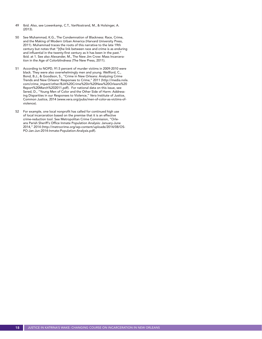- 49 Ibid. Also, see Lowenkamp, C.T., VanNostrand, M., & Holsinger, A. (2013).
- 50 See Muhammad, K.G., The Condemnation of Blackness: Race, Crime, and the Making of Modern Urban America (Harvard University Press, 2011). Muhammad traces the roots of this narrative to the late 19th century but notes that "[t]he link between race and crime is as enduring and influential in the twenty-first century as it has been in the past." Ibid. at 1. See also Alexander, M., The New Jim Crow: Mass Incarceration in the Age of Colorblindness (The New Press, 2011).
- 51 According to NOPD, 91.5 percent of murder victims in 2009-2010 were black. They were also overwhelmingly men and young. Wellford, C., Bond, B.J., & Goodison, S., "Crime in New Orleans: Analyzing Crime Trends and New Orleans' Responses to Crime," 2011 (http://media.nola. com/crime\_impact/other/BJA%20Crime%20in%20New%20Orleans%20 Report%20March%202011.pdf). For national data on this issue, see Sered, D., "Young Men of Color and the Other Side of Harm: Addressing Disparities in our Responses to Violence," Vera Institute of Justice, Common Justice, 2014 (www.vera.org/pubs/men-of-color-as-victims-ofviolence).
- 52 For example, one local nonprofit has called for continued high use of local incarceration based on the premise that it is an effective crime-reduction tool. See Metropolitan Crime Commission, "Orleans Parish Sheriff's Office Inmate Population Analysis: January-June 2014," 2014 (http://metrocrime.org/wp-content/uploads/2014/08/OS-PO-Jan-Jun-2014-Inmate-Population-Analysis.pdf).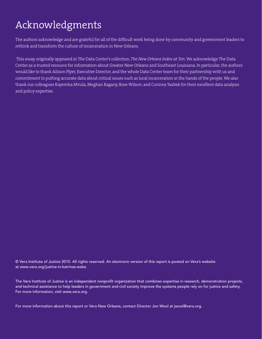## Acknowledgments

The authors acknowledge and are grateful for all of the difficult work being done by community and government leaders to rethink and transform the culture of incarceration in New Orleans.

 This essay originally appeared in The Data Center's collection, *The New Orleans Index at Ten*. We acknowledge The Data Center as a trusted resource for information about Greater New Orleans and Southeast Louisiana. In particular, the authors would like to thank Allison Plyer, Executive Director, and the whole Data Center team for their partnership with us and commitment to putting accurate data about critical issues such as local incarceration in the hands of the people. We also thank our colleagues Kayemba Mvula, Meghan Ragany, Rose Wilson, and Corinna Yazbek for their excellent data analysis and policy expertise.

© Vera Institute of Justice 2015. All rights reserved. An electronic version of this report is posted on Vera's website at www.vera.org/justice-in-katrinas-wake.

The Vera Institute of Justice is an independent nonprofit organization that combines expertise in research, demonstration projects, and technical assistance to help leaders in government and civil society improve the systems people rely on for justice and safety. For more information, visit www.vera.org.

For more information about this report or Vera New Orleans, contact Director Jon Wool at jwool@vera.org.